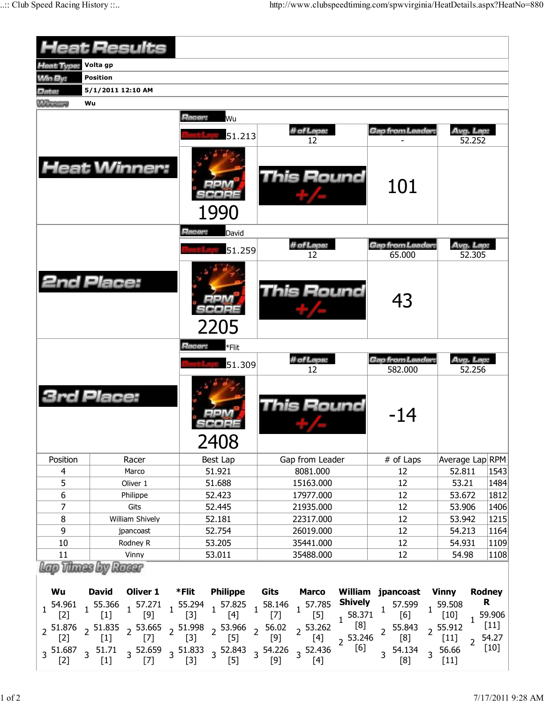| <b>Heat Results</b> |                                                                                                                                                   |                                            |                                                                                                                                                                                                                                                                                                                                                                                       |                                                                             |                                                                                             |  |  |  |  |  |  |
|---------------------|---------------------------------------------------------------------------------------------------------------------------------------------------|--------------------------------------------|---------------------------------------------------------------------------------------------------------------------------------------------------------------------------------------------------------------------------------------------------------------------------------------------------------------------------------------------------------------------------------------|-----------------------------------------------------------------------------|---------------------------------------------------------------------------------------------|--|--|--|--|--|--|
| <b>Heat Type:</b>   | Volta gp                                                                                                                                          |                                            |                                                                                                                                                                                                                                                                                                                                                                                       |                                                                             |                                                                                             |  |  |  |  |  |  |
| <b>Win By:</b>      | <b>Position</b>                                                                                                                                   |                                            |                                                                                                                                                                                                                                                                                                                                                                                       |                                                                             |                                                                                             |  |  |  |  |  |  |
| Date:               | 5/1/2011 12:10 AM                                                                                                                                 |                                            |                                                                                                                                                                                                                                                                                                                                                                                       |                                                                             |                                                                                             |  |  |  |  |  |  |
| <b>M</b> Therings   | Wu                                                                                                                                                |                                            |                                                                                                                                                                                                                                                                                                                                                                                       |                                                                             |                                                                                             |  |  |  |  |  |  |
|                     |                                                                                                                                                   | Racer:<br>Wu                               |                                                                                                                                                                                                                                                                                                                                                                                       |                                                                             |                                                                                             |  |  |  |  |  |  |
|                     |                                                                                                                                                   | 51.213                                     | # of Laps:<br>12                                                                                                                                                                                                                                                                                                                                                                      | Gap from Leader:                                                            | Avg. Lap:<br>52.252                                                                         |  |  |  |  |  |  |
|                     | <b>Heat Winner:</b>                                                                                                                               | 1990                                       | <b>This Round</b>                                                                                                                                                                                                                                                                                                                                                                     | 101                                                                         |                                                                                             |  |  |  |  |  |  |
|                     |                                                                                                                                                   | Racer:<br>David                            |                                                                                                                                                                                                                                                                                                                                                                                       |                                                                             |                                                                                             |  |  |  |  |  |  |
|                     |                                                                                                                                                   | 51.259                                     | # of Laps:                                                                                                                                                                                                                                                                                                                                                                            | <b>Gap from Leader:</b>                                                     | Avg. Lap:                                                                                   |  |  |  |  |  |  |
|                     |                                                                                                                                                   |                                            | 12                                                                                                                                                                                                                                                                                                                                                                                    | 65.000                                                                      | 52.305                                                                                      |  |  |  |  |  |  |
|                     | <b>2nd Place:</b>                                                                                                                                 | 2205                                       | This Round                                                                                                                                                                                                                                                                                                                                                                            | 43                                                                          |                                                                                             |  |  |  |  |  |  |
|                     |                                                                                                                                                   | Racer:<br>*Flit                            |                                                                                                                                                                                                                                                                                                                                                                                       |                                                                             |                                                                                             |  |  |  |  |  |  |
|                     |                                                                                                                                                   | 51.309                                     | # of Laps:<br>12                                                                                                                                                                                                                                                                                                                                                                      | <b>Gap from Leader:</b><br>582.000                                          | Avg. Lap:<br>52.256                                                                         |  |  |  |  |  |  |
|                     | <b>3rd Place:</b>                                                                                                                                 | 2408                                       | This Round                                                                                                                                                                                                                                                                                                                                                                            | -14                                                                         |                                                                                             |  |  |  |  |  |  |
| Position            | Racer                                                                                                                                             | Best Lap                                   | Gap from Leader                                                                                                                                                                                                                                                                                                                                                                       | # of Laps                                                                   | Average Lap RPM                                                                             |  |  |  |  |  |  |
| $\overline{4}$      | Marco                                                                                                                                             | 51.921                                     | 8081.000                                                                                                                                                                                                                                                                                                                                                                              | 12                                                                          | 52.811<br>1543                                                                              |  |  |  |  |  |  |
| 5                   | Oliver 1                                                                                                                                          | 51.688                                     | 15163.000                                                                                                                                                                                                                                                                                                                                                                             | 12                                                                          | 53.21<br>1484                                                                               |  |  |  |  |  |  |
| $\overline{6}$      | Philippe                                                                                                                                          | 52.423                                     | 17977.000                                                                                                                                                                                                                                                                                                                                                                             | 12                                                                          | 53.672<br>1812                                                                              |  |  |  |  |  |  |
| $\overline{7}$      | Gits                                                                                                                                              | 52.445                                     | 21935.000                                                                                                                                                                                                                                                                                                                                                                             | 12                                                                          | 53.906<br>1406                                                                              |  |  |  |  |  |  |
| $\,8\,$             | William Shively                                                                                                                                   | 52.181                                     | 22317.000                                                                                                                                                                                                                                                                                                                                                                             | 12                                                                          | 53.942<br>1215                                                                              |  |  |  |  |  |  |
| 9                   | jpancoast                                                                                                                                         | 52.754                                     | 26019.000                                                                                                                                                                                                                                                                                                                                                                             | 12                                                                          | 54.213<br>1164                                                                              |  |  |  |  |  |  |
| 10<br>11            | Rodney R<br>Vinny                                                                                                                                 | 53.205<br>35441.000<br>53.011<br>35488.000 |                                                                                                                                                                                                                                                                                                                                                                                       | 12<br>12                                                                    | 54.931<br>1109<br>54.98<br>1108                                                             |  |  |  |  |  |  |
|                     | Lap Thues by Racer                                                                                                                                |                                            |                                                                                                                                                                                                                                                                                                                                                                                       |                                                                             |                                                                                             |  |  |  |  |  |  |
| Wu                  |                                                                                                                                                   |                                            | David Oliver 1 *Flit Philippe Gits Marco William jpancoast Vinny                                                                                                                                                                                                                                                                                                                      |                                                                             | Rodney                                                                                      |  |  |  |  |  |  |
|                     |                                                                                                                                                   |                                            |                                                                                                                                                                                                                                                                                                                                                                                       | $1\quad \begin{array}{cc} 57.599 & 1 & 59.508 \ [6] & 1 & [10] \end{array}$ | R                                                                                           |  |  |  |  |  |  |
|                     | $3\quad 51.687 \quad 3 \quad 51.71 \qquad 3 \quad 52.659 \qquad 3 \quad 51.833 \qquad 3 \quad 52.843 \qquad 3 \quad 54.226 \qquad 3 \quad 52.436$ |                                            | $1\begin{array}{ccccc} 54.961 & 55.366 & 57.271 & 55.294 & 57.825 & 58.146 & 57.785 & \textbf{Shively} \\ \hline [2] & 1 & [1] & [9] & 1 & [3] & 1 & [4] & 1 & [7] & 1 & [5] & 58.371 \\ \end{array}$<br>2 51.876 2 51.835 2 53.665 2 51.998 2 53.966 2 56.02 2 53.262 $\frac{1}{8}$ [8] 2 55.843 2 55.912 1<br>[2] 2 [1] 2 [7] 2 [3] 2 [5] 2 [9] 2 [4] 2 53.246 2 [8] 2 [1] 2<br>[6] | $3^{54.134}$<br>[8]                                                         | $1^{59.906}$<br>$[11]$<br>54.27<br>$\overline{2}$<br>$[10]$<br>$3\frac{56.66}{ }$<br>$[11]$ |  |  |  |  |  |  |